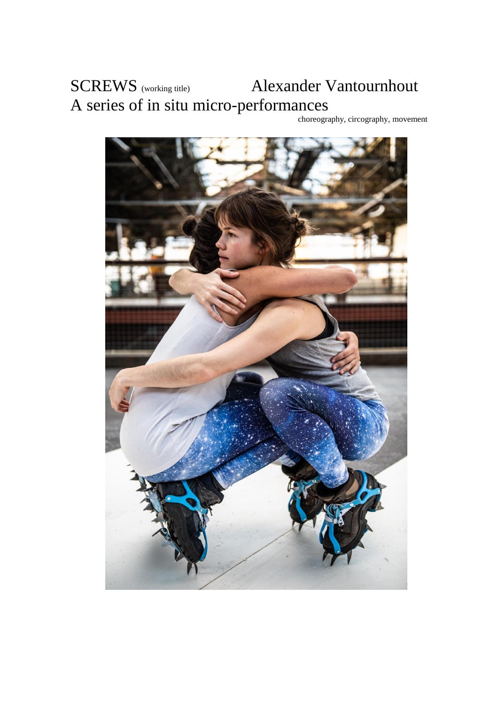# SCREWS (working title) Alexander Vantournhout A series of in situ micro-performances

choreography, circography, movement

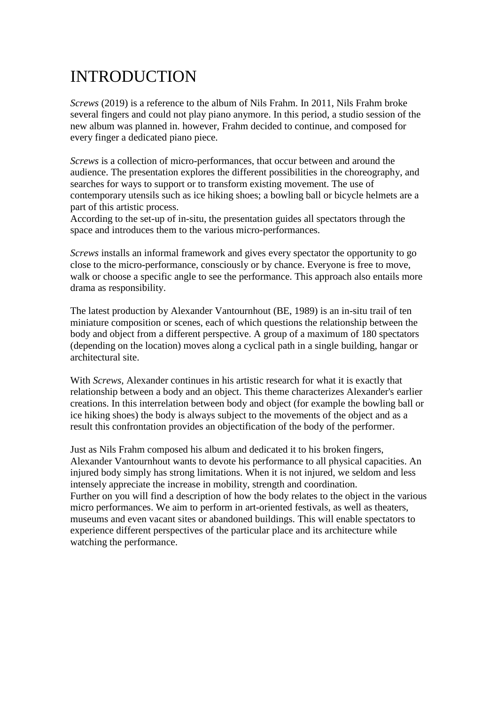# INTRODUCTION

*Screws* (2019) is a reference to the album of Nils Frahm. In 2011, Nils Frahm broke several fingers and could not play piano anymore. In this period, a studio session of the new album was planned in. however, Frahm decided to continue, and composed for every finger a dedicated piano piece.

*Screws* is a collection of micro-performances, that occur between and around the audience. The presentation explores the different possibilities in the choreography, and searches for ways to support or to transform existing movement. The use of contemporary utensils such as ice hiking shoes; a bowling ball or bicycle helmets are a part of this artistic process.

According to the set-up of in-situ, the presentation guides all spectators through the space and introduces them to the various micro-performances.

*Screws* installs an informal framework and gives every spectator the opportunity to go close to the micro-performance, consciously or by chance. Everyone is free to move, walk or choose a specific angle to see the performance. This approach also entails more drama as responsibility.

The latest production by Alexander Vantournhout (BE, 1989) is an in-situ trail of ten miniature composition or scenes, each of which questions the relationship between the body and object from a different perspective. A group of a maximum of 180 spectators (depending on the location) moves along a cyclical path in a single building, hangar or architectural site.

With *Screws*, Alexander continues in his artistic research for what it is exactly that relationship between a body and an object. This theme characterizes Alexander's earlier creations. In this interrelation between body and object (for example the bowling ball or ice hiking shoes) the body is always subject to the movements of the object and as a result this confrontation provides an objectification of the body of the performer.

Just as Nils Frahm composed his album and dedicated it to his broken fingers, Alexander Vantournhout wants to devote his performance to all physical capacities. An injured body simply has strong limitations. When it is not injured, we seldom and less intensely appreciate the increase in mobility, strength and coordination. Further on you will find a description of how the body relates to the object in the various micro performances. We aim to perform in art-oriented festivals, as well as theaters, museums and even vacant sites or abandoned buildings. This will enable spectators to experience different perspectives of the particular place and its architecture while watching the performance.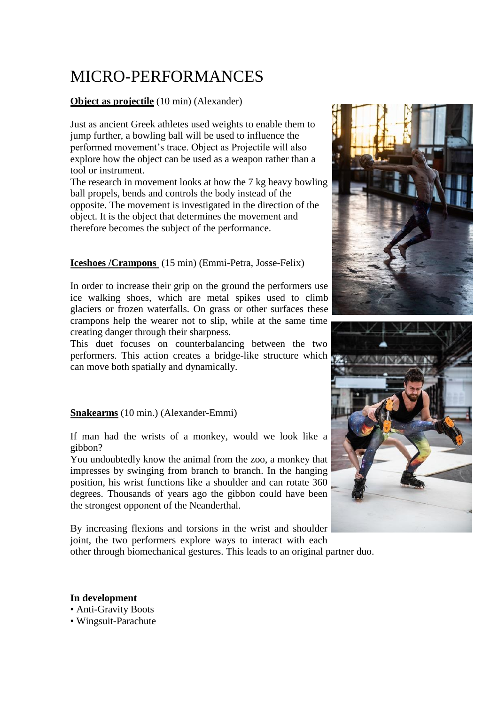# MICRO-PERFORMANCES

### **Object as projectile** (10 min) (Alexander)

Just as ancient Greek athletes used weights to enable them to jump further, a bowling ball will be used to influence the performed movement's trace. Object as Projectile will also explore how the object can be used as a weapon rather than a tool or instrument.

The research in movement looks at how the 7 kg heavy bowling ball propels, bends and controls the body instead of the opposite. The movement is investigated in the direction of the object. It is the object that determines the movement and therefore becomes the subject of the performance.

### **Iceshoes /Crampons** (15 min) (Emmi-Petra, Josse-Felix)

In order to increase their grip on the ground the performers use ice walking shoes, which are metal spikes used to climb glaciers or frozen waterfalls. On grass or other surfaces these crampons help the wearer not to slip, while at the same time creating danger through their sharpness.

This duet focuses on counterbalancing between the two performers. This action creates a bridge-like structure which can move both spatially and dynamically.

### **Snakearms** (10 min.) (Alexander-Emmi)

If man had the wrists of a monkey, would we look like a gibbon?

You undoubtedly know the animal from the zoo, a monkey that impresses by swinging from branch to branch. In the hanging position, his wrist functions like a shoulder and can rotate 360 degrees. Thousands of years ago the gibbon could have been the strongest opponent of the Neanderthal.

By increasing flexions and torsions in the wrist and shoulder joint, the two performers explore ways to interact with each other through biomechanical gestures. This leads to an original partner duo.





**In development** • Anti-Gravity Boots • Wingsuit-Parachute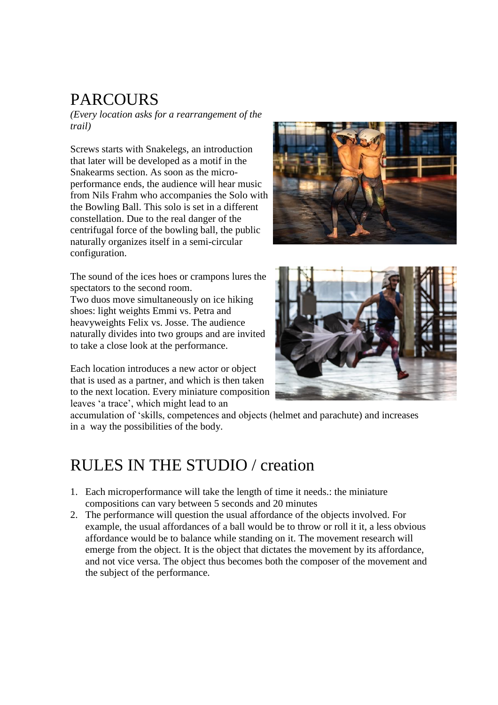# **PARCOURS**

*(Every location asks for a rearrangement of the trail)*

Screws starts with Snakelegs, an introduction that later will be developed as a motif in the Snakearms section. As soon as the microperformance ends, the audience will hear music from Nils Frahm who accompanies the Solo with the Bowling Ball. This solo is set in a different constellation. Due to the real danger of the centrifugal force of the bowling ball, the public naturally organizes itself in a semi-circular configuration.



The sound of the ices hoes or crampons lures the spectators to the second room. Two duos move simultaneously on ice hiking shoes: light weights Emmi vs. Petra and heavyweights Felix vs. Josse. The audience naturally divides into two groups and are invited to take a close look at the performance.

Each location introduces a new actor or object that is used as a partner, and which is then taken to the next location. Every miniature composition leaves 'a trace', which might lead to an



accumulation of 'skills, competences and objects (helmet and parachute) and increases in a way the possibilities of the body.

## RULES IN THE STUDIO / creation

- 1. Each microperformance will take the length of time it needs.: the miniature compositions can vary between 5 seconds and 20 minutes
- 2. The performance will question the usual affordance of the objects involved. For example, the usual affordances of a ball would be to throw or roll it it, a less obvious affordance would be to balance while standing on it. The movement research will emerge from the object. It is the object that dictates the movement by its affordance, and not vice versa. The object thus becomes both the composer of the movement and the subject of the performance.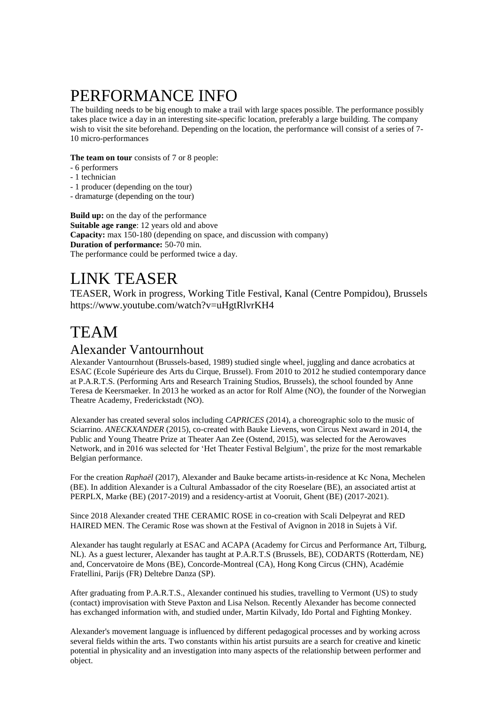# PERFORMANCE INFO

The building needs to be big enough to make a trail with large spaces possible. The performance possibly takes place twice a day in an interesting site-specific location, preferably a large building. The company wish to visit the site beforehand. Depending on the location, the performance will consist of a series of 7-10 micro-performances

#### **The team on tour** consists of 7 or 8 people:

- 6 performers
- 1 technician
- 1 producer (depending on the tour)
- dramaturge (depending on the tour)

**Build up:** on the day of the performance **Suitable age range**: 12 years old and above **Capacity:** max 150-180 (depending on space, and discussion with company) **Duration of performance:** 50-70 min. The performance could be performed twice a day.

### LINK TEASER

TEASER, Work in progress, Working Title Festival, Kanal (Centre Pompidou), Brussels <https://www.youtube.com/watch?v=uHgtRlvrKH4>

### TEAM

### Alexander Vantournhout

Alexander Vantournhout (Brussels-based, 1989) studied single wheel, juggling and dance acrobatics at ESAC (Ecole Supérieure des Arts du Cirque, Brussel). From 2010 to 2012 he studied contemporary dance at P.A.R.T.S. (Performing Arts and Research Training Studios, Brussels), the school founded by Anne Teresa de Keersmaeker. In 2013 he worked as an actor for Rolf Alme (NO), the founder of the Norwegian Theatre Academy, Frederickstadt (NO).

Alexander has created several solos including *CAPRICES* (2014), a choreographic solo to the music of Sciarrino. *ANECKXANDER* (2015), co-created with Bauke Lievens, won Circus Next award in 2014, the Public and Young Theatre Prize at Theater Aan Zee (Ostend, 2015), was selected for the Aerowaves Network, and in 2016 was selected for 'Het Theater Festival Belgium', the prize for the most remarkable Belgian performance.

For the creation *Raphaël* (2017), Alexander and Bauke became artists-in-residence at Kc Nona, Mechelen (BE). In addition Alexander is a Cultural Ambassador of the city Roeselare (BE), an associated artist at PERPLX, Marke (BE) (2017-2019) and a residency-artist at Vooruit, Ghent (BE) (2017-2021).

Since 2018 Alexander created THE CERAMIC ROSE in co-creation with Scali Delpeyrat and RED HAIRED MEN. The Ceramic Rose was shown at the Festival of Avignon in 2018 in Sujets à Vif.

Alexander has taught regularly at ESAC and ACAPA (Academy for Circus and Performance Art, Tilburg, NL). As a guest lecturer, Alexander has taught at P.A.R.T.S (Brussels, BE), CODARTS (Rotterdam, NE) and, Concervatoire de Mons (BE), Concorde-Montreal (CA), Hong Kong Circus (CHN), Académie Fratellini, Parijs (FR) Deltebre Danza (SP).

After graduating from P.A.R.T.S., Alexander continued his studies, travelling to Vermont (US) to study (contact) improvisation with Steve Paxton and Lisa Nelson. Recently Alexander has become connected has exchanged information with, and studied under, Martin Kilvady, Ido Portal and Fighting Monkey.

Alexander's movement language is influenced by different pedagogical processes and by working across several fields within the arts. Two constants within his artist pursuits are a search for creative and kinetic potential in physicality and an investigation into many aspects of the relationship between performer and object.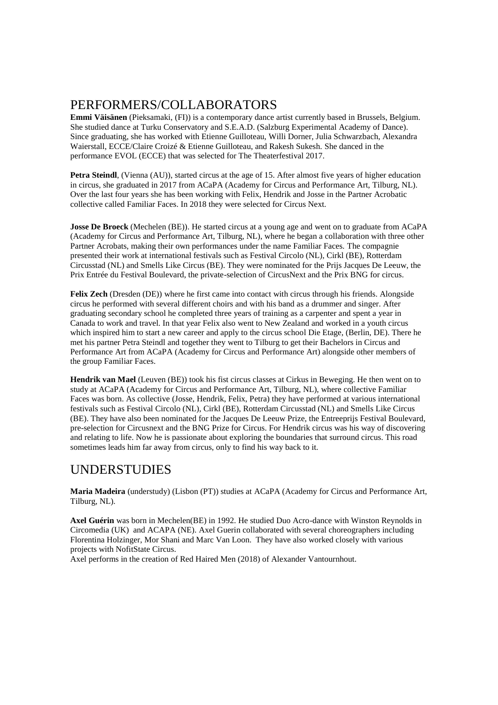### PERFORMERS/COLLABORATORS

**Emmi Väisänen** (Pieksamaki, (FI)) is a contemporary dance artist currently based in Brussels, Belgium. She studied dance at Turku Conservatory and S.E.A.D. (Salzburg Experimental Academy of Dance). Since graduating, she has worked with Etienne Guilloteau, Willi Dorner, Julia Schwarzbach, Alexandra Waierstall, ECCE/Claire Croizé & Etienne Guilloteau, and Rakesh Sukesh. She danced in the performance EVOL (ECCE) that was selected for The Theaterfestival 2017.

**Petra Steindl**, (Vienna (AU)), started circus at the age of 15. After almost five years of higher education in circus, she graduated in 2017 from ACaPA (Academy for Circus and Performance Art, Tilburg, NL). Over the last four years she has been working with Felix, Hendrik and Josse in the Partner Acrobatic collective called Familiar Faces. In 2018 they were selected for Circus Next.

**Josse De Broeck** (Mechelen (BE)). He started circus at a young age and went on to graduate from ACaPA (Academy for Circus and Performance Art, Tilburg, NL), where he began a collaboration with three other Partner Acrobats, making their own performances under the name Familiar Faces. The compagnie presented their work at international festivals such as Festival Circolo (NL), Cirkl (BE), Rotterdam Circusstad (NL) and Smells Like Circus (BE). They were nominated for the Prijs Jacques De Leeuw, the Prix Entrée du Festival Boulevard, the private-selection of CircusNext and the Prix BNG for circus.

**Felix Zech** (Dresden (DE)) where he first came into contact with circus through his friends. Alongside circus he performed with several different choirs and with his band as a drummer and singer. After graduating secondary school he completed three years of training as a carpenter and spent a year in Canada to work and travel. In that year Felix also went to New Zealand and worked in a youth circus which inspired him to start a new career and apply to the circus school Die Etage, (Berlin, DE). There he met his partner Petra Steindl and together they went to Tilburg to get their Bachelors in Circus and Performance Art from ACaPA (Academy for Circus and Performance Art) alongside other members of the group Familiar Faces.

**Hendrik van Mael** (Leuven (BE)) took his fist circus classes at Cirkus in Beweging. He then went on to study at ACaPA (Academy for Circus and Performance Art, Tilburg, NL), where collective Familiar Faces was born. As collective (Josse, Hendrik, Felix, Petra) they have performed at various international festivals such as Festival Circolo (NL), Cirkl (BE), Rotterdam Circusstad (NL) and Smells Like Circus (BE). They have also been nominated for the Jacques De Leeuw Prize, the Entreeprijs Festival Boulevard, pre-selection for Circusnext and the BNG Prize for Circus. For Hendrik circus was his way of discovering and relating to life. Now he is passionate about exploring the boundaries that surround circus. This road sometimes leads him far away from circus, only to find his way back to it.

### UNDERSTUDIES

**Maria Madeira** (understudy) (Lisbon (PT)) studies at ACaPA (Academy for Circus and Performance Art, Tilburg, NL).

**Axel Guérin** was born in Mechelen(BE) in 1992. He studied Duo Acro-dance with Winston Reynolds in Circomedia (UK) and ACAPA (NE). Axel Guerin collaborated with several choreographers including Florentina Holzinger, Mor Shani and Marc Van Loon. They have also worked closely with various projects with NofitState Circus.

Axel performs in the creation of Red Haired Men (2018) of Alexander Vantournhout.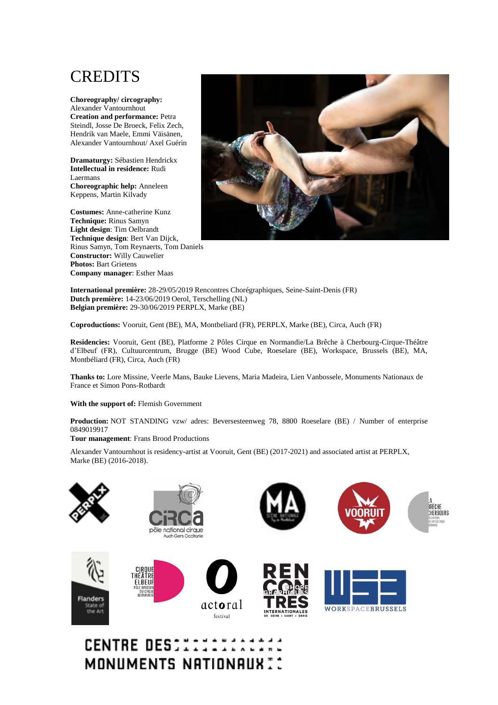## **CREDITS**

**Choreography/ circography:** Alexander Vantournhout **Creation and performance:** Petra Steindl, Josse De Broeck, Felix Zech, Hendrik van Maele, Emmi Väisänen, Alexander Vantournhout/ Axel Guérin

**Dramaturgy:** Sébastien Hendrickx **Intellectual in residence:** Rudi Laermans **Choreographic help:** Anneleen Keppens, Martin Kilvady

**Costumes:** Anne-catherine Kunz **Technique:** Rinus Samyn **Light design**: Tim Oelbrandt **Technique design**: Bert Van Dijck, Rinus Samyn, Tom Reynaerts, Tom Daniels **Constructor:** Willy Cauwelier **Photos:** Bart Grietens **Company manager**: Esther Maas



**International première:** 28-29/05/2019 Rencontres Chorégraphiques, Seine-Saint-Denis (FR) **Dutch première:** 14-23/06/2019 Oerol, Terschelling (NL) **Belgian première:** 29-30/06/2019 PERPLX, Marke (BE)

**Coproductions:** Vooruit, Gent (BE), MA, Montbeliard (FR), PERPLX, Marke (BE), Circa, Auch (FR)

**Residencies:** Vooruit, Gent (BE), Platforme 2 Pôles Cirque en Normandie/La Brêche à Cherbourg-Cirque-Théâtre d'Elbeuf (FR), Cultuurcentrum, Brugge (BE) Wood Cube, Roeselare (BE), Workspace, Brussels (BE), MA, Montbéliard (FR), Circa, Auch (FR)

**Thanks to:** Lore Missine, Veerle Mans, Bauke Lievens, Maria Madeira, Lien Vanbossele, Monuments Nationaux de France et Simon Pons-Rotbardt

**With the support of:** Flemish Government

**Production:** NOT STANDING vzw/ adres: Beversesteenweg 78, 8800 Roeselare (BE) / Number of enterprise 0849019917

**Tour management**: Frans Brood Productions

Alexander Vantournhout is residency-artist at Vooruit, Gent (BE) (2017-2021) and associated artist at PERPLX, Marke (BE) (2016-2018).



### **CENTRE DESCITITII** MONUMENTS NATIONAUX ::